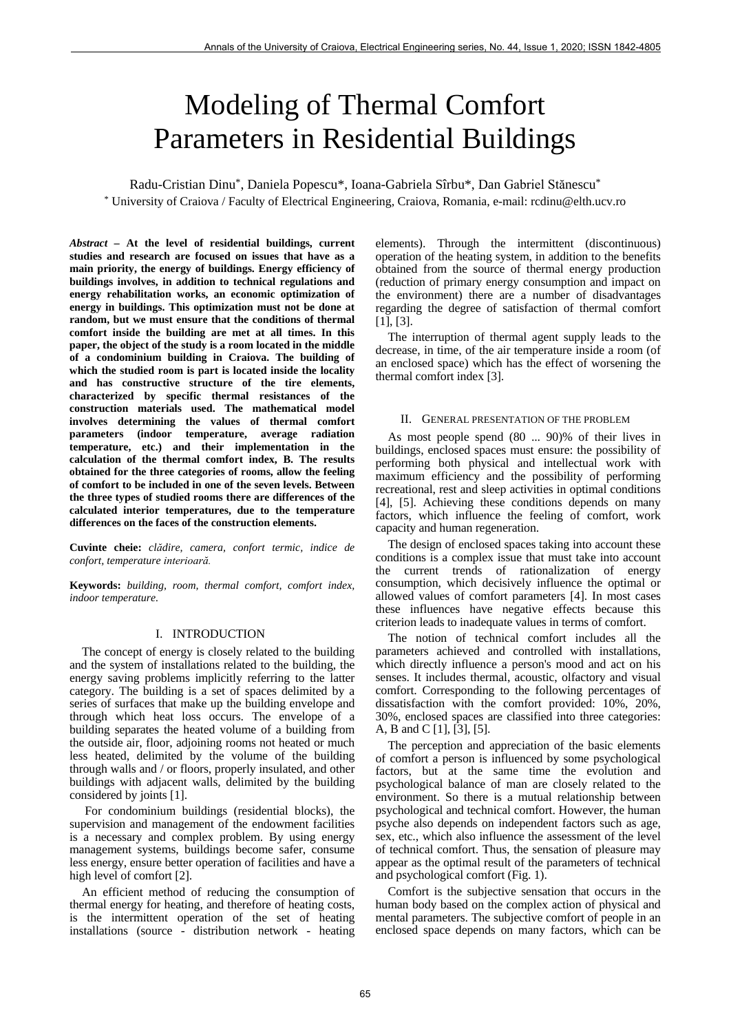# Modeling of Thermal Comfort Parameters in Residential Buildings

Radu-Cristian Dinu\*, Daniela Popescu\*, Ioana-Gabriela Sîrbu\*, Dan Gabriel Stănescu\* \* University of Craiova / Faculty of Electrical Engineering, Craiova, Romania, e-mail: rcdinu@elth.ucv.ro

*Abstract –* **At the level of residential buildings, current studies and research are focused on issues that have as a main priority, the energy of buildings. Energy efficiency of buildings involves, in addition to technical regulations and energy rehabilitation works, an economic optimization of energy in buildings. This optimization must not be done at random, but we must ensure that the conditions of thermal comfort inside the building are met at all times. In this paper, the object of the study is a room located in the middle of a condominium building in Craiova. The building of which the studied room is part is located inside the locality and has constructive structure of the tire elements, characterized by specific thermal resistances of the construction materials used. The mathematical model involves determining the values of thermal comfort parameters (indoor temperature, average radiation temperature, etc.) and their implementation in the calculation of the thermal comfort index, B. The results obtained for the three categories of rooms, allow the feeling of comfort to be included in one of the seven levels. Between the three types of studied rooms there are differences of the calculated interior temperatures, due to the temperature differences on the faces of the construction elements.** 

**Cuvinte cheie:** *clădire, camera, confort termic, indice de confort, temperature interioară.*

**Keywords:** *building, room, thermal comfort, comfort index, indoor temperature.* 

## I. INTRODUCTION

The concept of energy is closely related to the building and the system of installations related to the building, the energy saving problems implicitly referring to the latter category. The building is a set of spaces delimited by a series of surfaces that make up the building envelope and through which heat loss occurs. The envelope of a building separates the heated volume of a building from the outside air, floor, adjoining rooms not heated or much less heated, delimited by the volume of the building through walls and / or floors, properly insulated, and other buildings with adjacent walls, delimited by the building considered by joints [1].

For condominium buildings (residential blocks), the supervision and management of the endowment facilities is a necessary and complex problem. By using energy management systems, buildings become safer, consume less energy, ensure better operation of facilities and have a high level of comfort [2].

An efficient method of reducing the consumption of thermal energy for heating, and therefore of heating costs, is the intermittent operation of the set of heating installations (source - distribution network - heating elements). Through the intermittent (discontinuous) operation of the heating system, in addition to the benefits obtained from the source of thermal energy production (reduction of primary energy consumption and impact on the environment) there are a number of disadvantages regarding the degree of satisfaction of thermal comfort [1], [3].

The interruption of thermal agent supply leads to the decrease, in time, of the air temperature inside a room (of an enclosed space) which has the effect of worsening the thermal comfort index [3].

## II. GENERAL PRESENTATION OF THE PROBLEM

As most people spend (80 ... 90)% of their lives in buildings, enclosed spaces must ensure: the possibility of performing both physical and intellectual work with maximum efficiency and the possibility of performing recreational, rest and sleep activities in optimal conditions [4], [5]. Achieving these conditions depends on many factors, which influence the feeling of comfort, work capacity and human regeneration.

The design of enclosed spaces taking into account these conditions is a complex issue that must take into account the current trends of rationalization of energy consumption, which decisively influence the optimal or allowed values of comfort parameters [4]. In most cases these influences have negative effects because this criterion leads to inadequate values in terms of comfort.

The notion of technical comfort includes all the parameters achieved and controlled with installations, which directly influence a person's mood and act on his senses. It includes thermal, acoustic, olfactory and visual comfort. Corresponding to the following percentages of dissatisfaction with the comfort provided: 10%, 20%, 30%, enclosed spaces are classified into three categories: A, B and C [1], [3], [5].

The perception and appreciation of the basic elements of comfort a person is influenced by some psychological factors, but at the same time the evolution and psychological balance of man are closely related to the environment. So there is a mutual relationship between psychological and technical comfort. However, the human psyche also depends on independent factors such as age, sex, etc., which also influence the assessment of the level of technical comfort. Thus, the sensation of pleasure may appear as the optimal result of the parameters of technical and psychological comfort (Fig. 1).

Comfort is the subjective sensation that occurs in the human body based on the complex action of physical and mental parameters. The subjective comfort of people in an enclosed space depends on many factors, which can be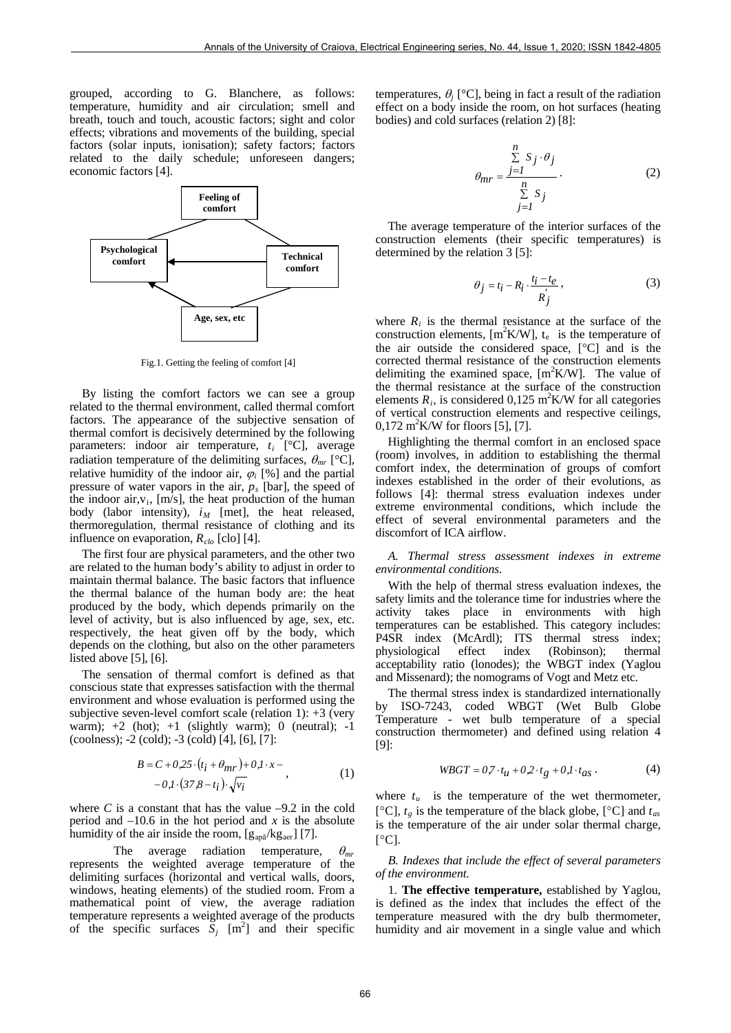grouped, according to G. Blanchere, as follows: temperature, humidity and air circulation; smell and breath, touch and touch, acoustic factors; sight and color effects; vibrations and movements of the building, special factors (solar inputs, ionisation); safety factors; factors related to the daily schedule; unforeseen dangers; economic factors [4].



Fig.1. Getting the feeling of comfort [4]

By listing the comfort factors we can see a group related to the thermal environment, called thermal comfort factors. The appearance of the subjective sensation of thermal comfort is decisively determined by the following parameters: indoor air temperature, *ti* [°C], average radiation temperature of the delimiting surfaces,  $\theta_{mr}$  [°C], relative humidity of the indoor air,  $\varphi_i$  [%] and the partial pressure of water vapors in the air, *ps* [bar], the speed of the indoor air, $v_i$ , [m/s], the heat production of the human body (labor intensity),  $i_M$  [met], the heat released, thermoregulation, thermal resistance of clothing and its influence on evaporation,  $R_{clo}$  [clo] [4].

The first four are physical parameters, and the other two are related to the human body's ability to adjust in order to maintain thermal balance. The basic factors that influence the thermal balance of the human body are: the heat produced by the body, which depends primarily on the level of activity, but is also influenced by age, sex, etc. respectively, the heat given off by the body, which depends on the clothing, but also on the other parameters listed above [5], [6].

The sensation of thermal comfort is defined as that conscious state that expresses satisfaction with the thermal environment and whose evaluation is performed using the subjective seven-level comfort scale (relation 1): +3 (very warm);  $+2$  (hot);  $+1$  (slightly warm); 0 (neutral);  $-1$ (coolness); -2 (cold); -3 (cold) [4], [6], [7]:

$$
B = C + 0.25 \cdot (t_i + \theta_{mr}) + 0.1 \cdot x - - 0.1 \cdot (37.8 - t_i) \cdot \sqrt{v_i},
$$
 (1)

where  $C$  is a constant that has the value  $-9.2$  in the cold period and  $-10.6$  in the hot period and *x* is the absolute humidity of the air inside the room,  $[g_{ap\check{a}}/kg_{aer}]$  [7].

The average radiation temperature,  $\theta_{mr}$ represents the weighted average temperature of the delimiting surfaces (horizontal and vertical walls, doors, windows, heating elements) of the studied room. From a mathematical point of view, the average radiation temperature represents a weighted average of the products of the specific surfaces  $\overline{S}_j$  [m<sup>2</sup>] and their specific temperatures,  $\theta_i$  [°C], being in fact a result of the radiation effect on a body inside the room, on hot surfaces (heating bodies) and cold surfaces (relation 2) [8]:

$$
\theta_{mr} = \frac{\sum_{j=1}^{n} S_j \cdot \theta_j}{\sum_{j=1}^{n} S_j}.
$$
 (2)

The average temperature of the interior surfaces of the construction elements (their specific temperatures) is determined by the relation 3 [5]:

$$
\theta_j = t_i - R_i \cdot \frac{t_i - t_e}{R_j},\tag{3}
$$

where  $R_i$  is the thermal resistance at the surface of the construction elements,  $[m^2K/W]$ ,  $t_e$  is the temperature of the air outside the considered space, [°C] and is the corrected thermal resistance of the construction elements delimiting the examined space,  $[m^2K/W]$ . The value of the thermal resistance at the surface of the construction elements  $R_i$ , is considered 0,125 m<sup>2</sup>K/W for all categories of vertical construction elements and respective ceilings,  $0,172 \text{ m}^2 \text{K/W}$  for floors [5], [7].

Highlighting the thermal comfort in an enclosed space (room) involves, in addition to establishing the thermal comfort index, the determination of groups of comfort indexes established in the order of their evolutions, as follows [4]: thermal stress evaluation indexes under extreme environmental conditions, which include the effect of several environmental parameters and the discomfort of ICA airflow.

*A. Thermal stress assessment indexes in extreme environmental conditions.*

With the help of thermal stress evaluation indexes, the safety limits and the tolerance time for industries where the activity takes place in environments with high temperatures can be established. This category includes: P4SR index (McArdl); ITS thermal stress index;<br>physiological effect index (Robinson); thermal physiological effect index (Robinson); thermal acceptability ratio (lonodes); the WBGT index (Yaglou and Missenard); the nomograms of Vogt and Metz etc.

The thermal stress index is standardized internationally by ISO-7243, coded WBGT (Wet Bulb Globe Temperature - wet bulb temperature of a special construction thermometer) and defined using relation 4 [9]:

$$
WBGT = 0.7 \cdot t_{\mathcal{U}} + 0.2 \cdot t_g + 0.1 \cdot t_{as} \,. \tag{4}
$$

where  $t_u$  is the temperature of the wet thermometer, [ $^{\circ}$ C],  $t_g$  is the temperature of the black globe, [ $^{\circ}$ C] and  $t_{as}$ is the temperature of the air under solar thermal charge,  $[°C]$ .

*B. Indexes that include the effect of several parameters of the environment.*

1. **The effective temperature,** established by Yaglou, is defined as the index that includes the effect of the temperature measured with the dry bulb thermometer, humidity and air movement in a single value and which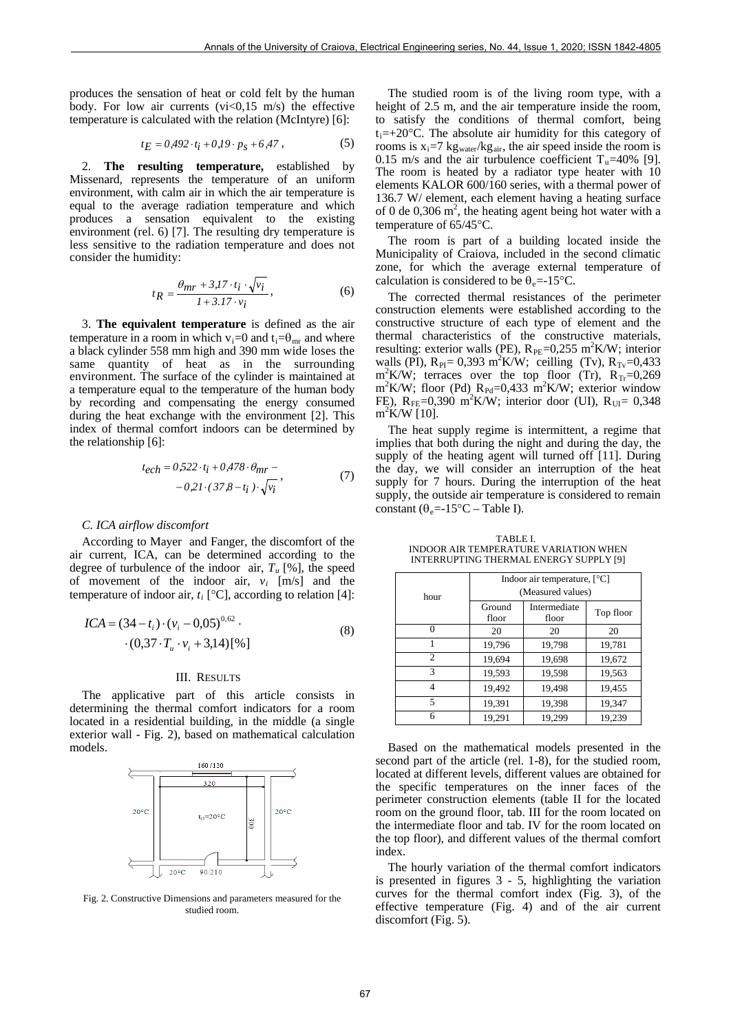produces the sensation of heat or cold felt by the human body. For low air currents  $(vi<0.15$  m/s) the effective temperature is calculated with the relation (McIntyre) [6]:

$$
t_E = 0.492 \cdot t_i + 0.19 \cdot p_s + 6.47 \,, \tag{5}
$$

2. **The resulting temperature,** established by Missenard, represents the temperature of an uniform environment, with calm air in which the air temperature is equal to the average radiation temperature and which produces a sensation equivalent to the existing environment (rel. 6) [7]. The resulting dry temperature is less sensitive to the radiation temperature and does not consider the humidity:

$$
t_R = \frac{\theta_{mr} + 3J7 \cdot t_i \cdot \sqrt{v_i}}{1 + 3J7 \cdot v_i},\tag{6}
$$

3. **The equivalent temperature** is defined as the air temperature in a room in which  $v_i=0$  and  $t_i=\theta_{mr}$  and where a black cylinder 558 mm high and 390 mm wide loses the same quantity of heat as in the surrounding environment. The surface of the cylinder is maintained at a temperature equal to the temperature of the human body by recording and compensating the energy consumed during the heat exchange with the environment [2]. This index of thermal comfort indoors can be determined by the relationship [6]:

$$
t_{ech} = 0.522 \cdot t_i + 0.478 \cdot \theta_{mr} -
$$
  
- 0.21 \cdot (37.8 - t\_i) \cdot \sqrt{v\_i}, (7)

#### *C. ICA airflow discomfort*

According to Mayer and Fanger, the discomfort of the air current, ICA, can be determined according to the degree of turbulence of the indoor air,  $T_u$  [%], the speed of movement of the indoor air, *vi* [m/s] and the temperature of indoor air,  $t_i$  [ $°C$ ], according to relation [4]:

$$
ICA = (34 - t_i) \cdot (v_i - 0.05)^{0.62} \cdot (8)
$$
  
 
$$
\cdot (0.37 \cdot T_u \cdot v_i + 3.14)[\%]
$$
 (8)

#### III. RESULTS

The applicative part of this article consists in determining the thermal comfort indicators for a room located in a residential building, in the middle (a single exterior wall - Fig. 2), based on mathematical calculation models.



Fig. 2. Constructive Dimensions and parameters measured for the studied room.

The studied room is of the living room type, with a height of 2.5 m, and the air temperature inside the room, to satisfy the conditions of thermal comfort, being  $t_i=+20$ °C. The absolute air humidity for this category of rooms is  $x_i=7$  kg<sub>water</sub>/kg<sub>air</sub>, the air speed inside the room is 0.15 m/s and the air turbulence coefficient  $T<sub>u</sub>=40\%$  [9]. The room is heated by a radiator type heater with 10 elements KALOR 600/160 series, with a thermal power of 136.7 W/ element, each element having a heating surface of 0 de  $0,306$  m<sup>2</sup>, the heating agent being hot water with a temperature of 65/45°C.

The room is part of a building located inside the Municipality of Craiova, included in the second climatic zone, for which the average external temperature of calculation is considered to be  $\theta_e$ =-15°C.

The corrected thermal resistances of the perimeter construction elements were established according to the constructive structure of each type of element and the thermal characteristics of the constructive materials, resulting: exterior walls (PE),  $R_{PE} = 0.255$  m<sup>2</sup>K/W; interior walls (PI),  $R_{PI} = 0.393 \text{ m}^2 \text{K/W}$ ; ceilling (Tv),  $R_{Tv} = 0.433$  $m<sup>2</sup>$ K/W; terraces over the top floor (Tr),  $R<sub>Tr</sub>=0,269$  $m^2$ K/W; floor (Pd)  $R_{\text{Pd}}$ =0,433  $m^2$ K/W; exterior window FE),  $R_{FE} = 0,390 \text{ m}^2 \text{K/W}$ ; interior door (UI),  $R_{UI} = 0,348$ m<sup>2</sup>K/W [10].

The heat supply regime is intermittent, a regime that implies that both during the night and during the day, the supply of the heating agent will turned off [11]. During the day, we will consider an interruption of the heat supply for 7 hours. During the interruption of the heat supply, the outside air temperature is considered to remain constant ( $\theta_e$ =-15°C – Table I).

TABLE I. INDOOR AIR TEMPERATURE VARIATION WHEN INTERRUPTING THERMAL ENERGY SUPPLY [9]

|                | Indoor air temperature, $[°C]$ |                       |           |  |  |  |  |
|----------------|--------------------------------|-----------------------|-----------|--|--|--|--|
| hour           | (Measured values)              |                       |           |  |  |  |  |
|                | Ground<br>floor                | Intermediate<br>floor | Top floor |  |  |  |  |
|                | 20                             | 20                    | 20        |  |  |  |  |
|                | 19,796                         | 19,798                | 19,781    |  |  |  |  |
| $\overline{c}$ | 19,694                         | 19,698                | 19,672    |  |  |  |  |
| 3              | 19,593                         | 19,598                | 19,563    |  |  |  |  |
| 4              | 19,492                         | 19,498                | 19,455    |  |  |  |  |
| 5              | 19,391                         | 19,398                | 19,347    |  |  |  |  |
| 6              | 19,291                         | 19,299                | 19,239    |  |  |  |  |

Based on the mathematical models presented in the second part of the article (rel. 1-8), for the studied room, located at different levels, different values are obtained for the specific temperatures on the inner faces of the perimeter construction elements (table II for the located room on the ground floor, tab. III for the room located on the intermediate floor and tab. IV for the room located on the top floor), and different values of the thermal comfort index.

The hourly variation of the thermal comfort indicators is presented in figures 3 - 5, highlighting the variation curves for the thermal comfort index (Fig. 3), of the effective temperature (Fig. 4) and of the air current discomfort (Fig. 5).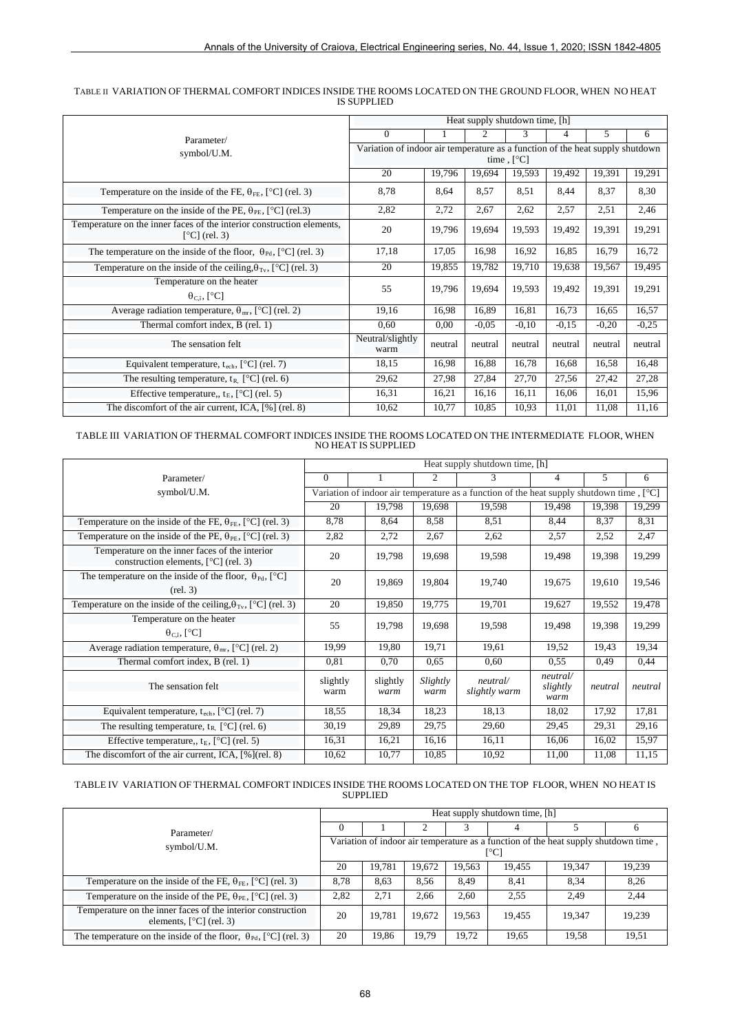|                                                                                          | Heat supply shutdown time, [h]                                                |         |         |         |         |         |         |  |  |
|------------------------------------------------------------------------------------------|-------------------------------------------------------------------------------|---------|---------|---------|---------|---------|---------|--|--|
| Parameter/                                                                               | $\Omega$                                                                      |         | 2       | 3       | 4       | 5       | 6       |  |  |
| symbol/U.M.                                                                              | Variation of indoor air temperature as a function of the heat supply shutdown |         |         |         |         |         |         |  |  |
|                                                                                          | time, $[^{\circ}C]$                                                           |         |         |         |         |         |         |  |  |
|                                                                                          | 20                                                                            | 19,796  | 19,694  | 19,593  | 19,492  | 19,391  | 19,291  |  |  |
| Temperature on the inside of the FE, $\theta_{FE}$ , [°C] (rel. 3)                       | 8,78                                                                          | 8,64    | 8,57    | 8,51    | 8.44    | 8,37    | 8,30    |  |  |
| Temperature on the inside of the PE, $\theta_{PE}$ , [°C] (rel.3)                        | 2,82                                                                          | 2,72    | 2,67    | 2,62    | 2,57    | 2,51    | 2,46    |  |  |
| Temperature on the inner faces of the interior construction elements,<br>$[°C]$ (rel. 3) | 20                                                                            | 19,796  | 19,694  | 19,593  | 19,492  | 19,391  | 19,291  |  |  |
| The temperature on the inside of the floor, $\theta_{\text{Pd}}$ , [°C] (rel. 3)         | 17,18                                                                         | 17,05   | 16,98   | 16.92   | 16,85   | 16,79   | 16,72   |  |  |
| Temperature on the inside of the ceiling, $\theta_{\text{Tv}}$ , [°C] (rel. 3)           | 20                                                                            | 19,855  | 19,782  | 19,710  | 19,638  | 19,567  | 19,495  |  |  |
| Temperature on the heater                                                                | 55                                                                            | 19,796  | 19.694  | 19.593  | 19.492  | 19,391  | 19,291  |  |  |
| $\theta_{\text{C}i}$ , [ <sup>o</sup> C]                                                 |                                                                               |         |         |         |         |         |         |  |  |
| Average radiation temperature, $\theta_{mr}$ , [°C] (rel. 2)                             | 19,16                                                                         | 16,98   | 16,89   | 16,81   | 16,73   | 16,65   | 16,57   |  |  |
| Thermal comfort index, B (rel. 1)                                                        | 0,60                                                                          | 0.00    | $-0.05$ | $-0.10$ | $-0.15$ | $-0.20$ | $-0,25$ |  |  |
| The sensation felt                                                                       | Neutral/slightly<br>warm                                                      | neutral | neutral | neutral | neutral | neutral | neutral |  |  |
| Equivalent temperature, $t_{\text{ech}}$ , [°C] (rel. 7)                                 | 18,15                                                                         | 16,98   | 16,88   | 16,78   | 16,68   | 16,58   | 16,48   |  |  |
| The resulting temperature, $t_R$ [°C] (rel. 6)                                           | 29,62                                                                         | 27,98   | 27,84   | 27,70   | 27,56   | 27,42   | 27,28   |  |  |
| Effective temperature,, $t_E$ , [ $^{\circ}$ C] (rel. 5)                                 | 16.31                                                                         | 16,21   | 16,16   | 16,11   | 16,06   | 16,01   | 15,96   |  |  |
| The discomfort of the air current, ICA, [%] (rel. 8)                                     | 10,62                                                                         | 10,77   | 10,85   | 10,93   | 11,01   | 11,08   | 11,16   |  |  |

### TABLE II VARIATION OF THERMAL COMFORT INDICES INSIDE THE ROOMS LOCATED ON THE GROUND FLOOR, WHEN NO HEAT IS SUPPLIED

TABLE III VARIATION OF THERMAL COMFORT INDICES INSIDE THE ROOMS LOCATED ON THE INTERMEDIATE FLOOR, WHEN NO HEAT IS SUPPLIED

|                                                                                          | Heat supply shutdown time, [h]                                                                                   |                  |                                               |        |                              |         |         |  |  |
|------------------------------------------------------------------------------------------|------------------------------------------------------------------------------------------------------------------|------------------|-----------------------------------------------|--------|------------------------------|---------|---------|--|--|
| Parameter/                                                                               | $\Omega$                                                                                                         |                  | 2                                             | 3      | 4                            | 5.      | 6       |  |  |
| symbol/U.M.                                                                              | Variation of indoor air temperature as a function of the heat supply shutdown time, $\lceil \, \text{°C} \rceil$ |                  |                                               |        |                              |         |         |  |  |
|                                                                                          | 20                                                                                                               | 19,798           | 19,698                                        | 19,598 | 19,498                       | 19,398  | 19,299  |  |  |
| Temperature on the inside of the FE, $\theta_{FE}$ , [°C] (rel. 3)                       | 8,78                                                                                                             | 8,64             | 8,58                                          | 8,51   | 8,44                         | 8,37    | 8,31    |  |  |
| Temperature on the inside of the PE, $\theta_{PE}$ , [°C] (rel. 3)                       | 2,82                                                                                                             | 2,72             | 2,67                                          | 2,62   | 2,57                         | 2,52    | 2,47    |  |  |
| Temperature on the inner faces of the interior<br>construction elements, $[°C]$ (rel. 3) | 20                                                                                                               | 19,798           | 19.698                                        | 19,598 | 19,498                       | 19,398  | 19,299  |  |  |
| The temperature on the inside of the floor, $\theta_{\text{Pd}}$ , [°C]<br>(rel. 3)      | 20                                                                                                               | 19,869           | 19,804                                        | 19,740 | 19.675                       | 19,610  | 19,546  |  |  |
| Temperature on the inside of the ceiling, $\theta_{\text{Tv}}$ , [°C] (rel. 3)           | 20                                                                                                               | 19,850           | 19,775                                        | 19,701 | 19,627                       | 19,552  | 19,478  |  |  |
| Temperature on the heater                                                                | 55                                                                                                               | 19,798           | 19,698                                        | 19.598 | 19.498                       | 19,398  | 19,299  |  |  |
| $\theta_{C,i}$ , [ <sup>o</sup> C]                                                       |                                                                                                                  |                  |                                               |        |                              |         |         |  |  |
| Average radiation temperature, $\theta_{mr}$ , [°C] (rel. 2)                             | 19,99                                                                                                            | 19,80            | 19,71                                         | 19,61  | 19,52                        | 19,43   | 19,34   |  |  |
| Thermal comfort index, B (rel. 1)                                                        | 0,81                                                                                                             | 0,70             | 0,65                                          | 0,60   | 0.55                         | 0,49    | 0,44    |  |  |
| The sensation felt                                                                       | slightly<br>warm                                                                                                 | slightly<br>warm | Slightly<br>neutral/<br>slightly warm<br>warm |        | neutral/<br>slightly<br>warm | neutral | neutral |  |  |
| Equivalent temperature, $t_{\rm ech}$ , [ $^{\circ}$ C] (rel. 7)                         | 18,55                                                                                                            | 18,34            | 18,23                                         | 18,13  | 18,02                        | 17,92   | 17,81   |  |  |
| The resulting temperature, $t_R$ [°C] (rel. 6)                                           | 30,19                                                                                                            | 29,89            | 29,75                                         | 29,60  | 29,45                        | 29,31   | 29,16   |  |  |
| Effective temperature,, $t_E$ , [ $^{\circ}$ C] (rel. 5)                                 | 16,31                                                                                                            | 16,21            | 16,16                                         | 16,11  | 16,06                        | 16,02   | 15,97   |  |  |
| The discomfort of the air current, ICA, [%](rel. 8)                                      | 10,62                                                                                                            | 10,77            | 10,85                                         | 10,92  | 11,00                        | 11,08   | 11,15   |  |  |

TABLE IV VARIATION OF THERMAL COMFORT INDICES INSIDE THE ROOMS LOCATED ON THE TOP FLOOR, WHEN NO HEAT IS SUPPLIED

| Parameter/                                                                               |                                                                                             | Heat supply shutdown time, [h] |        |        |        |        |        |  |  |
|------------------------------------------------------------------------------------------|---------------------------------------------------------------------------------------------|--------------------------------|--------|--------|--------|--------|--------|--|--|
|                                                                                          |                                                                                             |                                |        |        |        |        |        |  |  |
| symbol/U.M.                                                                              | Variation of indoor air temperature as a function of the heat supply shutdown time,<br>[°C] |                                |        |        |        |        |        |  |  |
|                                                                                          |                                                                                             | 19.781                         | 19.672 | 19.563 | 19.455 | 19.347 | 19,239 |  |  |
| Temperature on the inside of the FE, $\theta_{FE}$ , [°C] (rel. 3)                       | 8.78                                                                                        | 8.63                           | 8.56   | 8.49   | 8,41   | 8.34   | 8.26   |  |  |
| Temperature on the inside of the PE, $\theta_{PE}$ , [°C] (rel. 3)                       | 2,82                                                                                        | 2,71                           | 2.66   | 2,60   | 2,55   | 2.49   | 2,44   |  |  |
| Temperature on the inner faces of the interior construction<br>elements, $[°C]$ (rel. 3) | 20                                                                                          | 19.781                         | 19,672 | 19.563 | 19,455 | 19.347 | 19,239 |  |  |
| The temperature on the inside of the floor, $\theta_{\text{Pd}}$ , [°C] (rel. 3)         | 20                                                                                          | 19.86                          | 19.79  | 19.72  | 19,65  | 19.58  | 19.51  |  |  |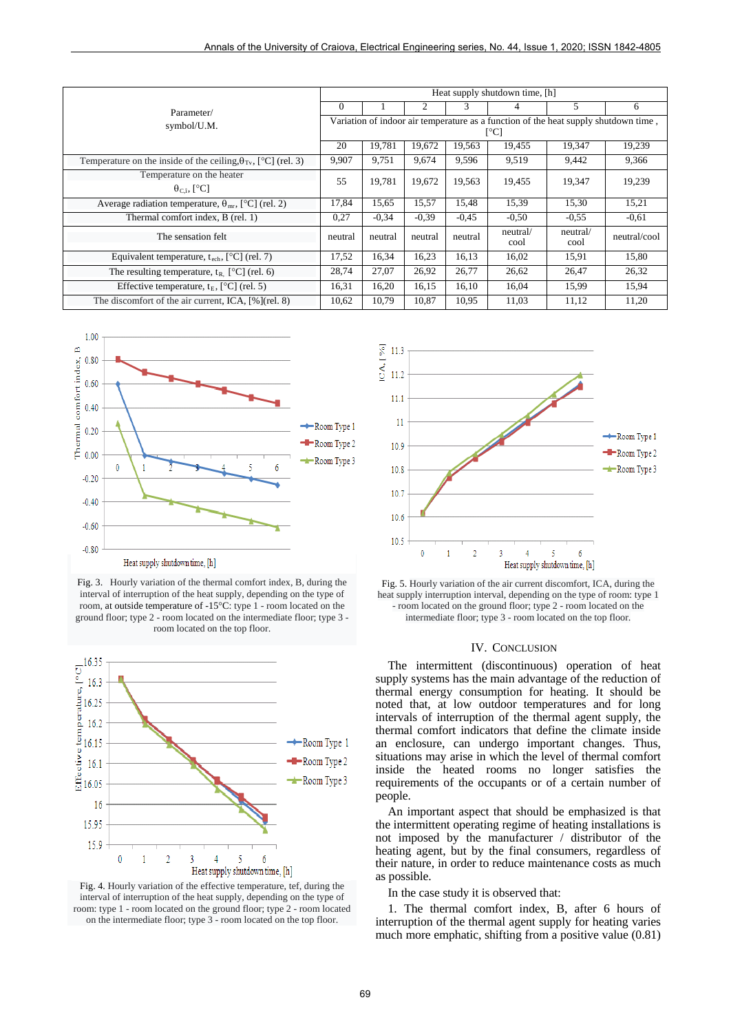| Parameter/                                                                     |                                                                                     | Heat supply shutdown time, [h] |         |         |                  |                  |              |  |  |
|--------------------------------------------------------------------------------|-------------------------------------------------------------------------------------|--------------------------------|---------|---------|------------------|------------------|--------------|--|--|
|                                                                                |                                                                                     |                                | 2       | 3       | 4                | 5                | 6            |  |  |
| symbol/U.M.                                                                    | Variation of indoor air temperature as a function of the heat supply shutdown time, |                                |         |         |                  |                  |              |  |  |
|                                                                                | [°C]                                                                                |                                |         |         |                  |                  |              |  |  |
|                                                                                |                                                                                     | 19,781                         | 19,672  | 19,563  | 19,455           | 19,347           | 19,239       |  |  |
| Temperature on the inside of the ceiling, $\theta_{\text{Tv}}$ , [°C] (rel. 3) | 9,907                                                                               | 9.751                          | 9,674   | 9,596   | 9,519            | 9,442            | 9,366        |  |  |
| Temperature on the heater                                                      | 55                                                                                  | 19,781                         | 19,672  | 19,563  | 19,455           | 19,347           | 19,239       |  |  |
| $\theta_{C,i}$ , [°C]                                                          |                                                                                     |                                |         |         |                  |                  |              |  |  |
| Average radiation temperature, $\theta_{mr}$ , [°C] (rel. 2)                   | 17,84                                                                               | 15,65                          | 15,57   | 15.48   | 15,39            | 15.30            | 15,21        |  |  |
| Thermal comfort index, B (rel. 1)                                              | 0,27                                                                                | $-0.34$                        | $-0.39$ | $-0.45$ | $-0.50$          | $-0.55$          | $-0.61$      |  |  |
| The sensation felt                                                             | neutral                                                                             | neutral                        | neutral | neutral | neutral/<br>cool | neutral/<br>cool | neutral/cool |  |  |
| Equivalent temperature, $t_{\text{ech}}$ , [ $^{\circ}$ C] (rel. 7)            | 17,52                                                                               | 16,34                          | 16,23   | 16,13   | 16,02            | 15,91            | 15,80        |  |  |
| The resulting temperature, $t_{R}$ [°C] (rel. 6)                               | 28,74                                                                               | 27,07                          | 26,92   | 26,77   | 26,62            | 26.47            | 26,32        |  |  |
| Effective temperature, $t_E$ , [ $^{\circ}$ C] (rel. 5)                        | 16,31                                                                               | 16,20                          | 16,15   | 16,10   | 16,04            | 15,99            | 15,94        |  |  |
| The discomfort of the air current, ICA, [%](rel. 8)                            | 10,62                                                                               | 10,79                          | 10,87   | 10.95   | 11,03            | 11,12            | 11,20        |  |  |



Fig. 3. Hourly variation of the thermal comfort index, B, during the interval of interruption of the heat supply, depending on the type of room, at outside temperature of -15°C: type 1 - room located on the ground floor; type 2 - room located on the intermediate floor; type 3 room located on the top floor.



Fig. 4. Hourly variation of the effective temperature, tef, during the interval of interruption of the heat supply, depending on the type of room: type 1 - room located on the ground floor; type 2 - room located on the intermediate floor; type 3 - room located on the top floor.



Fig. 5. Hourly variation of the air current discomfort, ICA, during the heat supply interruption interval, depending on the type of room: type 1 - room located on the ground floor; type 2 - room located on the intermediate floor; type 3 - room located on the top floor.

## IV. CONCLUSION

The intermittent (discontinuous) operation of heat supply systems has the main advantage of the reduction of thermal energy consumption for heating. It should be noted that, at low outdoor temperatures and for long intervals of interruption of the thermal agent supply, the thermal comfort indicators that define the climate inside an enclosure, can undergo important changes. Thus, situations may arise in which the level of thermal comfort inside the heated rooms no longer satisfies the requirements of the occupants or of a certain number of people.

An important aspect that should be emphasized is that the intermittent operating regime of heating installations is not imposed by the manufacturer / distributor of the heating agent, but by the final consumers, regardless of their nature, in order to reduce maintenance costs as much as possible.

In the case study it is observed that:

1. The thermal comfort index, B, after 6 hours of interruption of the thermal agent supply for heating varies much more emphatic, shifting from a positive value (0.81)